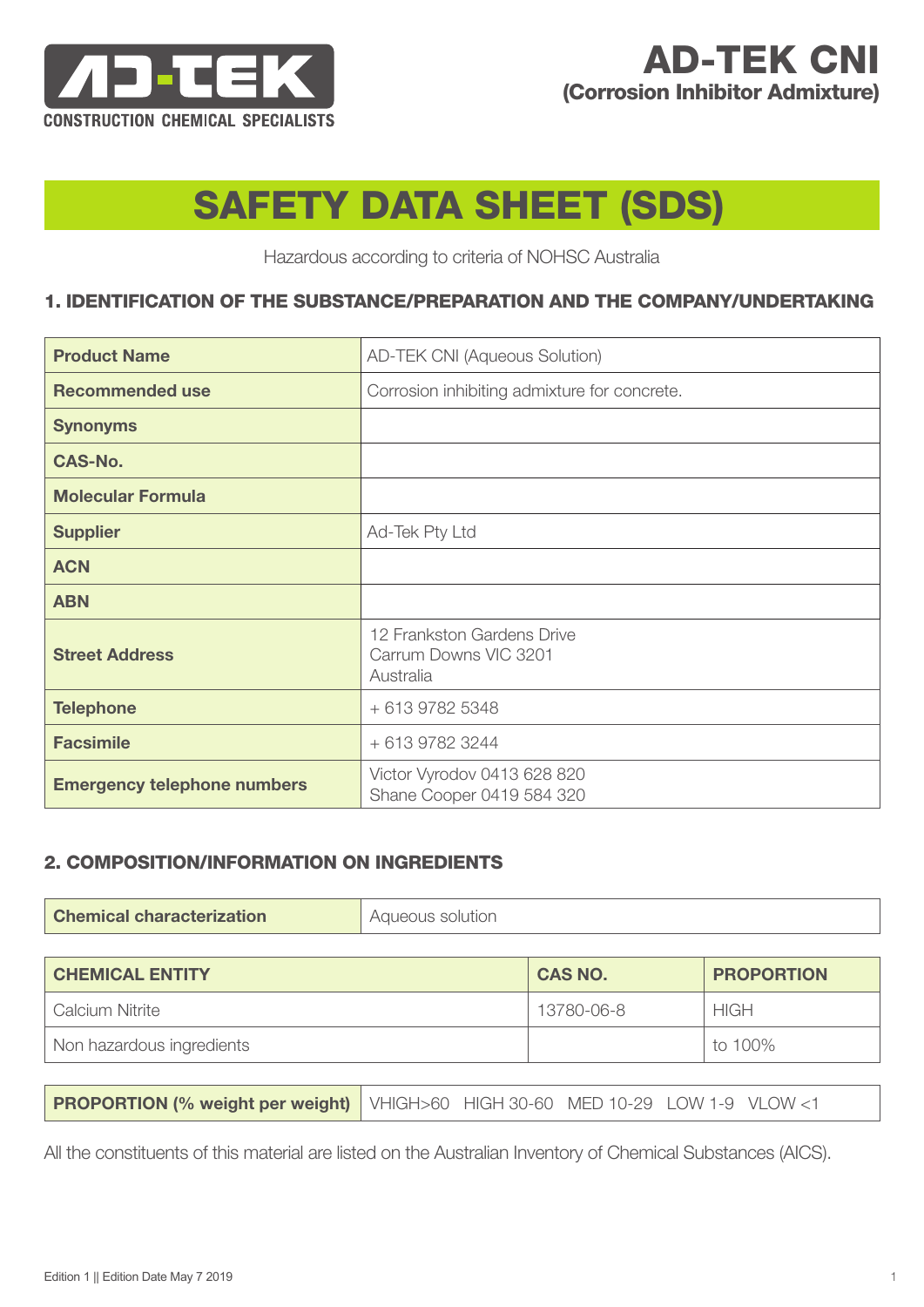

# AD-TEK CNI (Corrosion Inhibitor Admixture)

# SAFETY DATA SHEET (SDS)

Hazardous according to criteria of NOHSC Australia

## 1. IDENTIFICATION OF THE SUBSTANCE/PREPARATION AND THE COMPANY/UNDERTAKING

| <b>Product Name</b>                | <b>AD-TEK CNI (Aqueous Solution)</b>                             |
|------------------------------------|------------------------------------------------------------------|
| <b>Recommended use</b>             | Corrosion inhibiting admixture for concrete.                     |
| <b>Synonyms</b>                    |                                                                  |
| <b>CAS-No.</b>                     |                                                                  |
| <b>Molecular Formula</b>           |                                                                  |
| <b>Supplier</b>                    | Ad-Tek Pty Ltd                                                   |
| <b>ACN</b>                         |                                                                  |
| <b>ABN</b>                         |                                                                  |
| <b>Street Address</b>              | 12 Frankston Gardens Drive<br>Carrum Downs VIC 3201<br>Australia |
| <b>Telephone</b>                   | + 613 9782 5348                                                  |
| <b>Facsimile</b>                   | + 613 9782 3244                                                  |
| <b>Emergency telephone numbers</b> | Victor Vyrodov 0413 628 820<br>Shane Cooper 0419 584 320         |

# 2. COMPOSITION/INFORMATION ON INGREDIENTS

| <b>CHEMICAL ENTITY</b>    | <b>CAS NO.</b> | <b>PROPORTION</b> |
|---------------------------|----------------|-------------------|
| Calcium Nitrite           | 13780-06-8     | <b>HIGH</b>       |
| Non hazardous ingredients |                | to 100%           |

All the constituents of this material are listed on the Australian Inventory of Chemical Substances (AICS).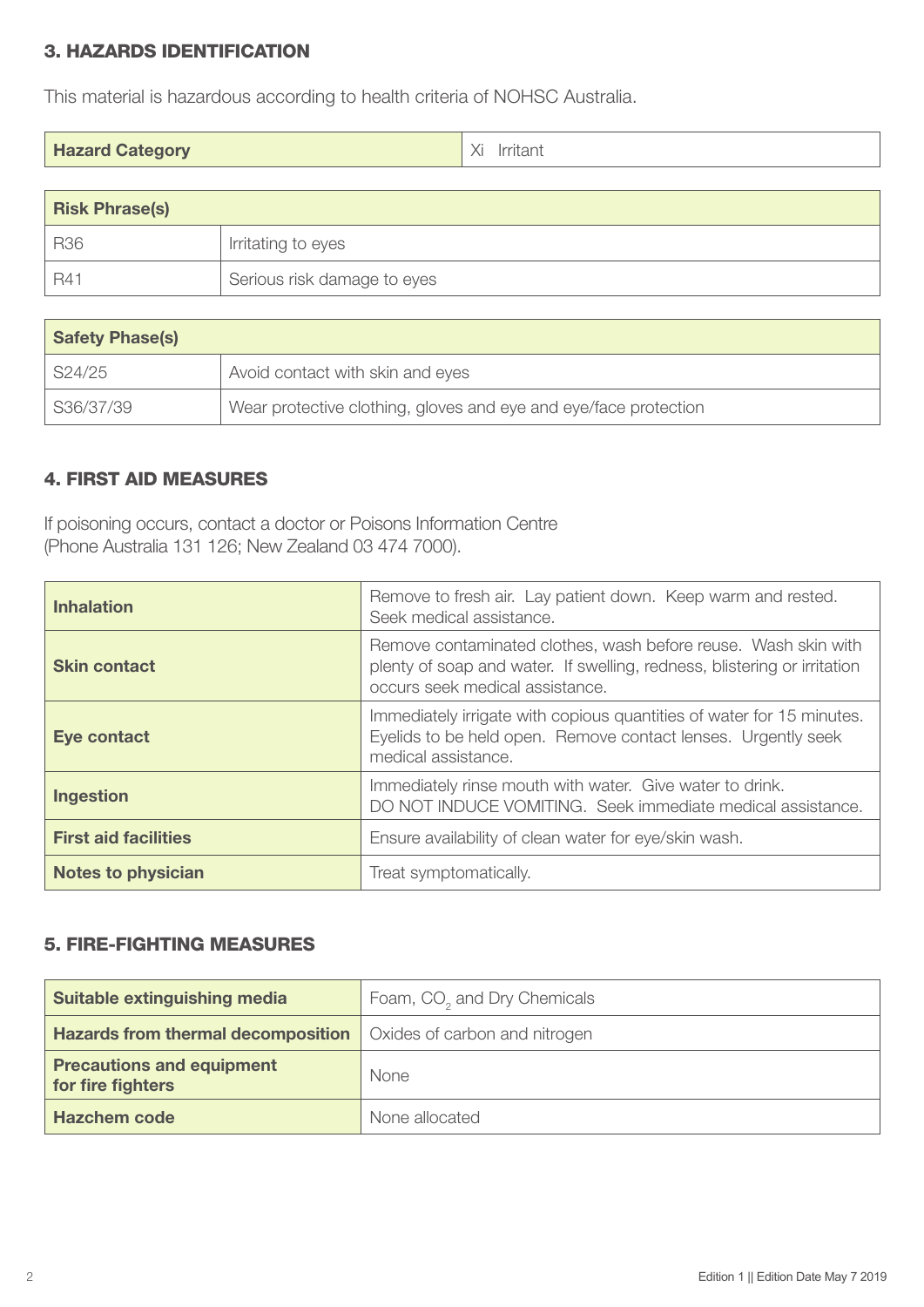# 3. HAZARDS IDENTIFICATION

This material is hazardous according to health criteria of NOHSC Australia.

| <b>Hazard Category</b> | Xi<br>Irritant |
|------------------------|----------------|
|------------------------|----------------|

| <b>Risk Phrase(s)</b> |                             |
|-----------------------|-----------------------------|
| <b>R36</b>            | Irritating to eyes          |
| $BA^{\circ}$          | Serious risk damage to eyes |

| <b>Safety Phase(s)</b> |                                                                  |
|------------------------|------------------------------------------------------------------|
| S24/25                 | Avoid contact with skin and eyes                                 |
| S36/37/39              | Wear protective clothing, gloves and eye and eye/face protection |

## 4. FIRST AID MEASURES

If poisoning occurs, contact a doctor or Poisons Information Centre (Phone Australia 131 126; New Zealand 03 474 7000).

| <b>Inhalation</b>           | Remove to fresh air. Lay patient down. Keep warm and rested.<br>Seek medical assistance.                                                                                      |
|-----------------------------|-------------------------------------------------------------------------------------------------------------------------------------------------------------------------------|
| <b>Skin contact</b>         | Remove contaminated clothes, wash before reuse. Wash skin with<br>plenty of soap and water. If swelling, redness, blistering or irritation<br>occurs seek medical assistance. |
| Eye contact                 | Immediately irrigate with copious quantities of water for 15 minutes.<br>Eyelids to be held open. Remove contact lenses. Urgently seek<br>medical assistance.                 |
| <b>Ingestion</b>            | Immediately rinse mouth with water. Give water to drink.<br>DO NOT INDUCE VOMITING. Seek immediate medical assistance.                                                        |
| <b>First aid facilities</b> | Ensure availability of clean water for eye/skin wash.                                                                                                                         |
| <b>Notes to physician</b>   | Treat symptomatically.                                                                                                                                                        |

# 5. FIRE-FIGHTING MEASURES

| Suitable extinguishing media                          | Foam, CO <sub>2</sub> and Dry Chemicals |
|-------------------------------------------------------|-----------------------------------------|
| <b>Hazards from thermal decomposition</b>             | Oxides of carbon and nitrogen           |
| <b>Precautions and equipment</b><br>for fire fighters | <b>None</b>                             |
| <b>Hazchem code</b>                                   | None allocated                          |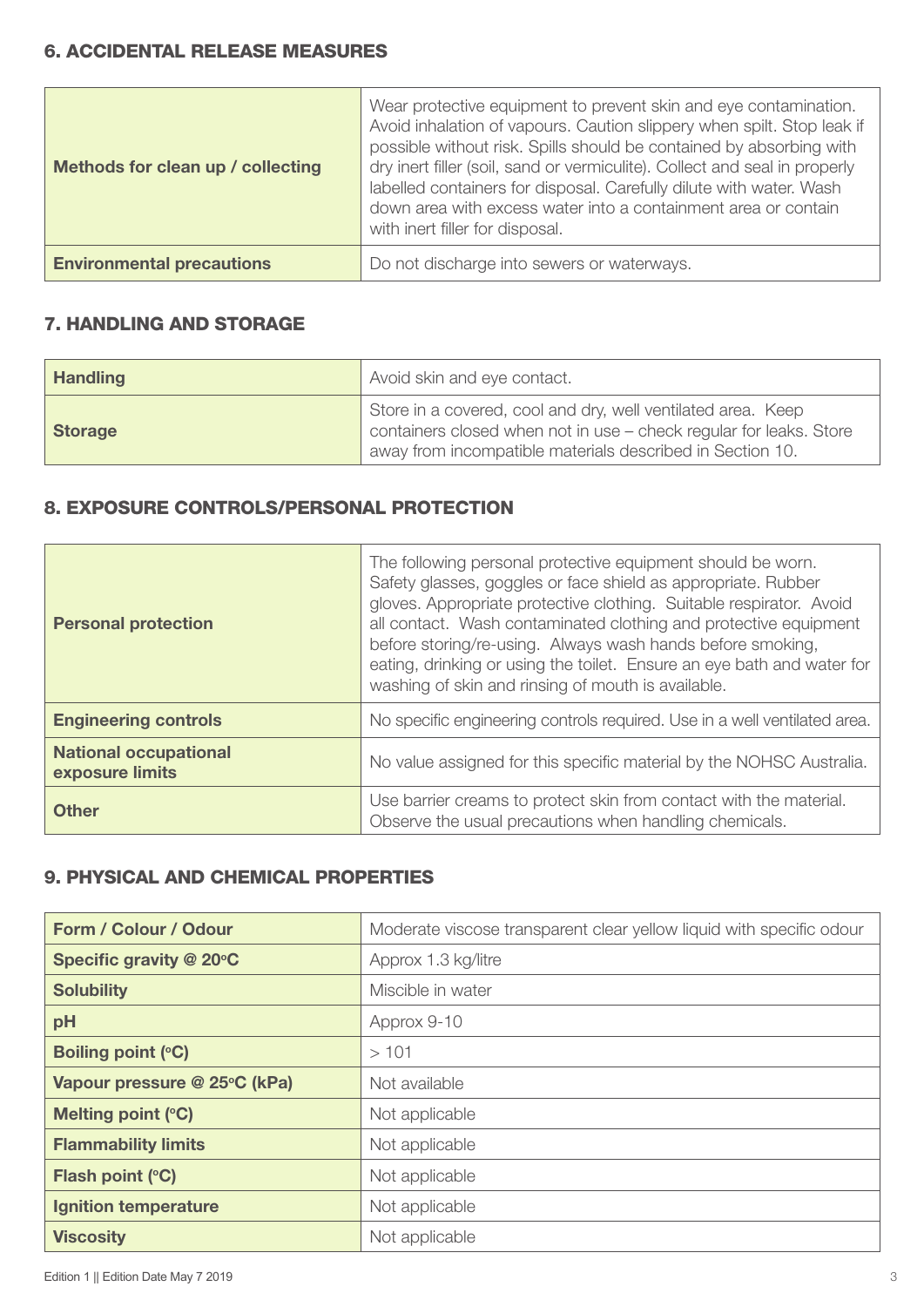#### 6. ACCIDENTAL RELEASE MEASURES

| Methods for clean up / collecting | Wear protective equipment to prevent skin and eye contamination.<br>Avoid inhalation of vapours. Caution slippery when spilt. Stop leak if<br>possible without risk. Spills should be contained by absorbing with<br>dry inert filler (soil, sand or vermiculite). Collect and seal in properly<br>labelled containers for disposal. Carefully dilute with water. Wash<br>down area with excess water into a containment area or contain<br>with inert filler for disposal. |
|-----------------------------------|-----------------------------------------------------------------------------------------------------------------------------------------------------------------------------------------------------------------------------------------------------------------------------------------------------------------------------------------------------------------------------------------------------------------------------------------------------------------------------|
| <b>Environmental precautions</b>  | Do not discharge into sewers or waterways.                                                                                                                                                                                                                                                                                                                                                                                                                                  |

### 7. HANDLING AND STORAGE

| <b>Handling</b> | Avoid skin and eye contact.                                                                                                                                                                     |
|-----------------|-------------------------------------------------------------------------------------------------------------------------------------------------------------------------------------------------|
| <b>Storage</b>  | Store in a covered, cool and dry, well ventilated area. Keep<br>containers closed when not in use - check regular for leaks. Store<br>away from incompatible materials described in Section 10. |

# 8. EXPOSURE CONTROLS/PERSONAL PROTECTION

| <b>Personal protection</b>                      | The following personal protective equipment should be worn.<br>Safety glasses, goggles or face shield as appropriate. Rubber<br>gloves. Appropriate protective clothing. Suitable respirator. Avoid<br>all contact. Wash contaminated clothing and protective equipment<br>before storing/re-using. Always wash hands before smoking,<br>eating, drinking or using the toilet. Ensure an eye bath and water for<br>washing of skin and rinsing of mouth is available. |
|-------------------------------------------------|-----------------------------------------------------------------------------------------------------------------------------------------------------------------------------------------------------------------------------------------------------------------------------------------------------------------------------------------------------------------------------------------------------------------------------------------------------------------------|
| <b>Engineering controls</b>                     | No specific engineering controls required. Use in a well ventilated area.                                                                                                                                                                                                                                                                                                                                                                                             |
| <b>National occupational</b><br>exposure limits | No value assigned for this specific material by the NOHSC Australia.                                                                                                                                                                                                                                                                                                                                                                                                  |
| <b>Other</b>                                    | Use barrier creams to protect skin from contact with the material.<br>Observe the usual precautions when handling chemicals.                                                                                                                                                                                                                                                                                                                                          |

# 9. PHYSICAL AND CHEMICAL PROPERTIES

| Form / Colour / Odour        | Moderate viscose transparent clear yellow liquid with specific odour |
|------------------------------|----------------------------------------------------------------------|
| Specific gravity @ 20°C      | Approx 1.3 kg/litre                                                  |
| <b>Solubility</b>            | Miscible in water                                                    |
| pH                           | Approx 9-10                                                          |
| <b>Boiling point (°C)</b>    | >101                                                                 |
| Vapour pressure @ 25°C (kPa) | Not available                                                        |
| Melting point (°C)           | Not applicable                                                       |
| <b>Flammability limits</b>   | Not applicable                                                       |
| Flash point (°C)             | Not applicable                                                       |
| <b>Ignition temperature</b>  | Not applicable                                                       |
| <b>Viscosity</b>             | Not applicable                                                       |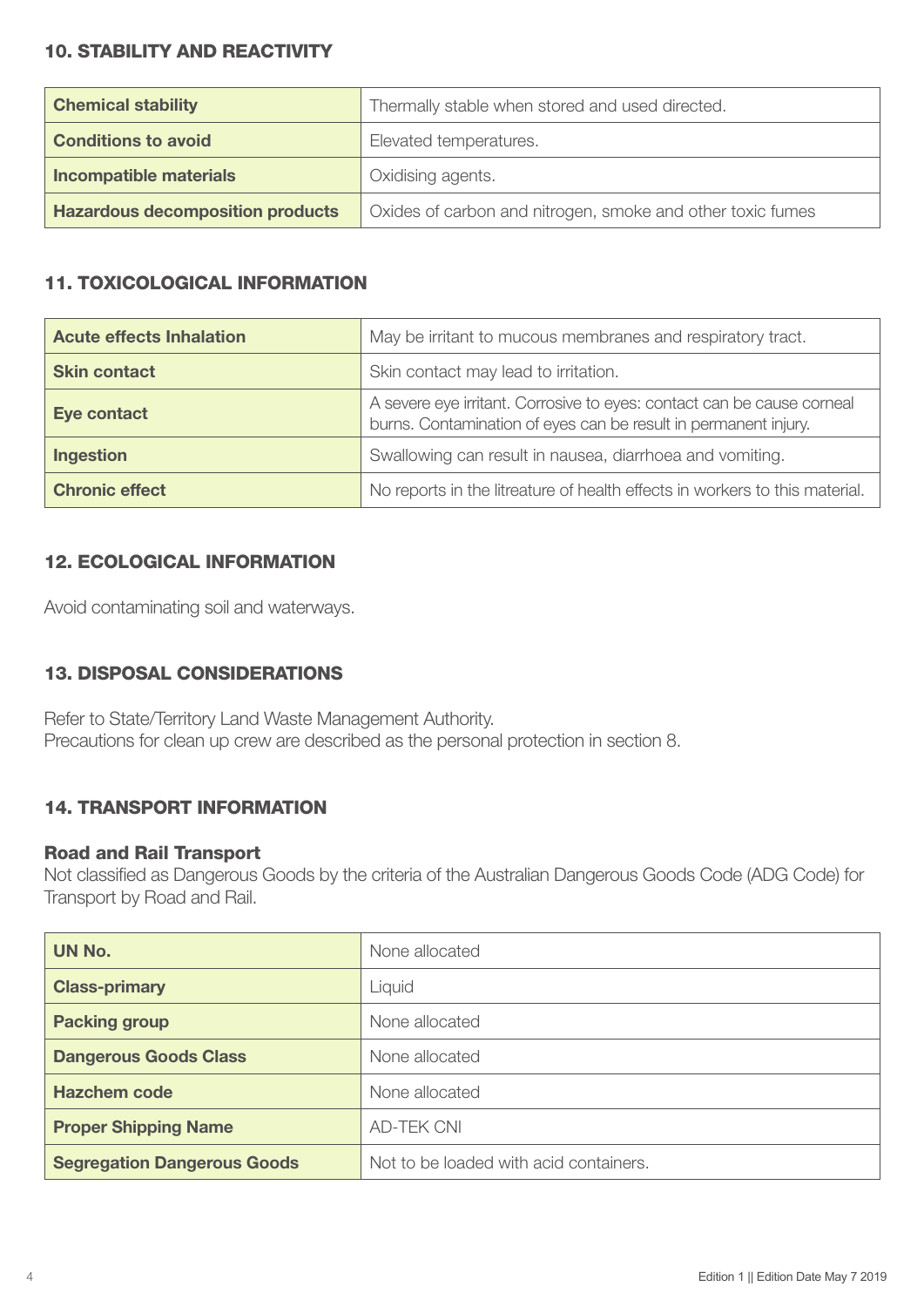## 10. STABILITY AND REACTIVITY

| <b>Chemical stability</b>               | Thermally stable when stored and used directed.            |
|-----------------------------------------|------------------------------------------------------------|
| <b>Conditions to avoid</b>              | Elevated temperatures.                                     |
| Incompatible materials                  | Oxidising agents.                                          |
| <b>Hazardous decomposition products</b> | Oxides of carbon and nitrogen, smoke and other toxic fumes |

# 11. TOXICOLOGICAL INFORMATION

| <b>Acute effects Inhalation</b> | May be irritant to mucous membranes and respiratory tract.                                                                                |
|---------------------------------|-------------------------------------------------------------------------------------------------------------------------------------------|
| <b>Skin contact</b>             | Skin contact may lead to irritation.                                                                                                      |
| <b>Eye contact</b>              | A severe eye irritant. Corrosive to eyes: contact can be cause corneal<br>burns. Contamination of eyes can be result in permanent injury. |
| <b>Ingestion</b>                | Swallowing can result in nausea, diarrhoea and vomiting.                                                                                  |
| <b>Chronic effect</b>           | No reports in the litreature of health effects in workers to this material.                                                               |

# 12. ECOLOGICAL INFORMATION

Avoid contaminating soil and waterways.

# 13. DISPOSAL CONSIDERATIONS

Refer to State/Territory Land Waste Management Authority. Precautions for clean up crew are described as the personal protection in section 8.

# 14. TRANSPORT INFORMATION

#### Road and Rail Transport

Not classified as Dangerous Goods by the criteria of the Australian Dangerous Goods Code (ADG Code) for Transport by Road and Rail.

| UN No.                             | None allocated                         |
|------------------------------------|----------------------------------------|
| <b>Class-primary</b>               | Liquid                                 |
| <b>Packing group</b>               | None allocated                         |
| <b>Dangerous Goods Class</b>       | None allocated                         |
| <b>Hazchem code</b>                | None allocated                         |
| <b>Proper Shipping Name</b>        | <b>AD-TEK CNI</b>                      |
| <b>Segregation Dangerous Goods</b> | Not to be loaded with acid containers. |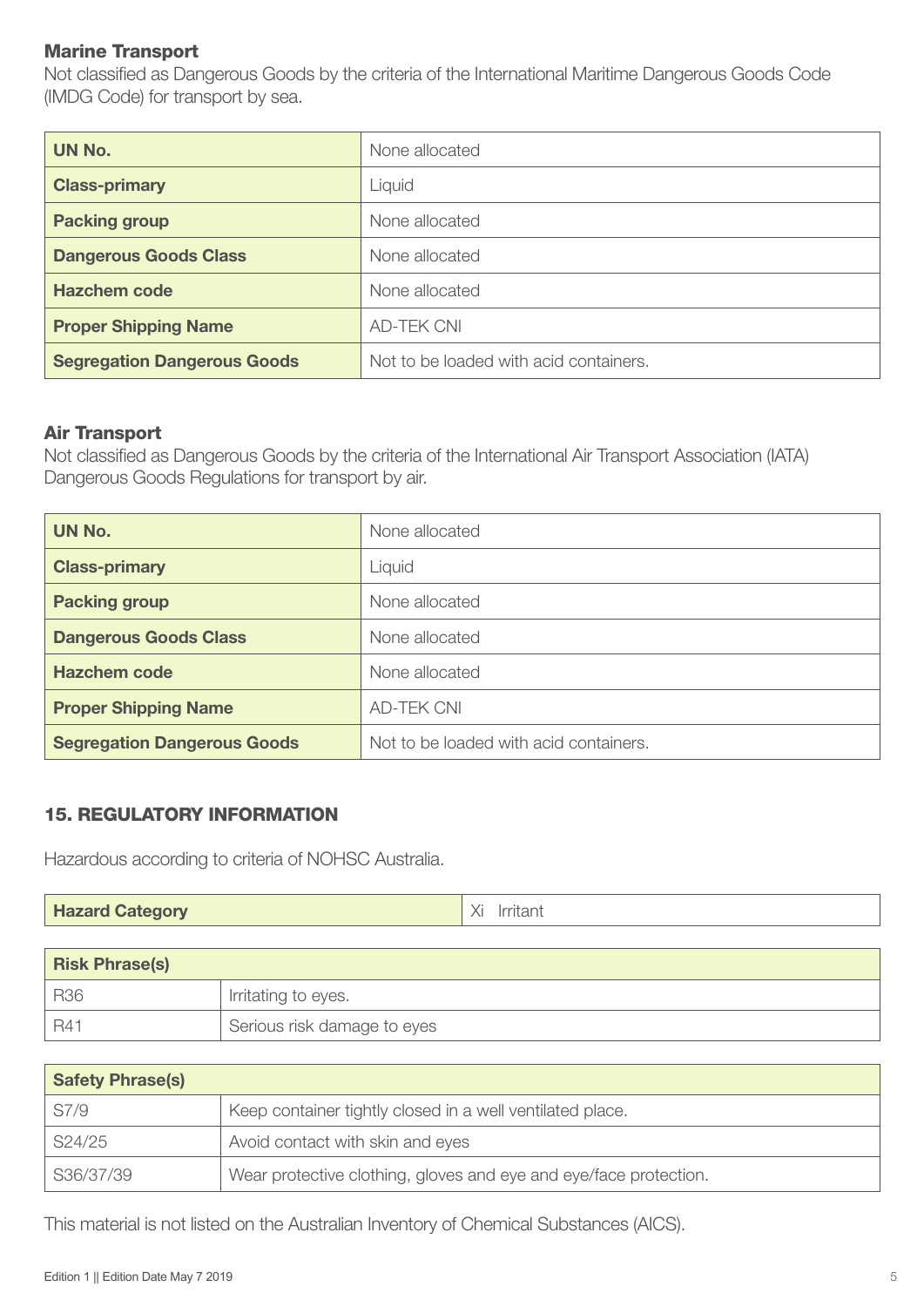#### Marine Transport

Not classified as Dangerous Goods by the criteria of the International Maritime Dangerous Goods Code (IMDG Code) for transport by sea.

| UN No.                             | None allocated                         |
|------------------------------------|----------------------------------------|
| <b>Class-primary</b>               | Liquid                                 |
| <b>Packing group</b>               | None allocated                         |
| <b>Dangerous Goods Class</b>       | None allocated                         |
| <b>Hazchem code</b>                | None allocated                         |
| <b>Proper Shipping Name</b>        | <b>AD-TEK CNI</b>                      |
| <b>Segregation Dangerous Goods</b> | Not to be loaded with acid containers. |

#### Air Transport

Not classified as Dangerous Goods by the criteria of the International Air Transport Association (IATA) Dangerous Goods Regulations for transport by air.

| UN No.                             | None allocated                         |
|------------------------------------|----------------------------------------|
| <b>Class-primary</b>               | Liquid                                 |
| <b>Packing group</b>               | None allocated                         |
| <b>Dangerous Goods Class</b>       | None allocated                         |
| <b>Hazchem code</b>                | None allocated                         |
| <b>Proper Shipping Name</b>        | <b>AD-TEK CNI</b>                      |
| <b>Segregation Dangerous Goods</b> | Not to be loaded with acid containers. |

#### 15. REGULATORY INFORMATION

Hazardous according to criteria of NOHSC Australia.

| <b>Hazard Category</b> | Irritant |
|------------------------|----------|
|------------------------|----------|

| <b>Risk Phrase(s)</b> |                             |
|-----------------------|-----------------------------|
| <b>R36</b>            | Irritating to eyes.         |
| R41                   | Serious risk damage to eyes |

| <b>Safety Phrase(s)</b> |                                                                   |
|-------------------------|-------------------------------------------------------------------|
| S7/9                    | Keep container tightly closed in a well ventilated place.         |
| S24/25                  | Avoid contact with skin and eyes                                  |
| S36/37/39               | Wear protective clothing, gloves and eye and eye/face protection. |

This material is not listed on the Australian Inventory of Chemical Substances (AICS).